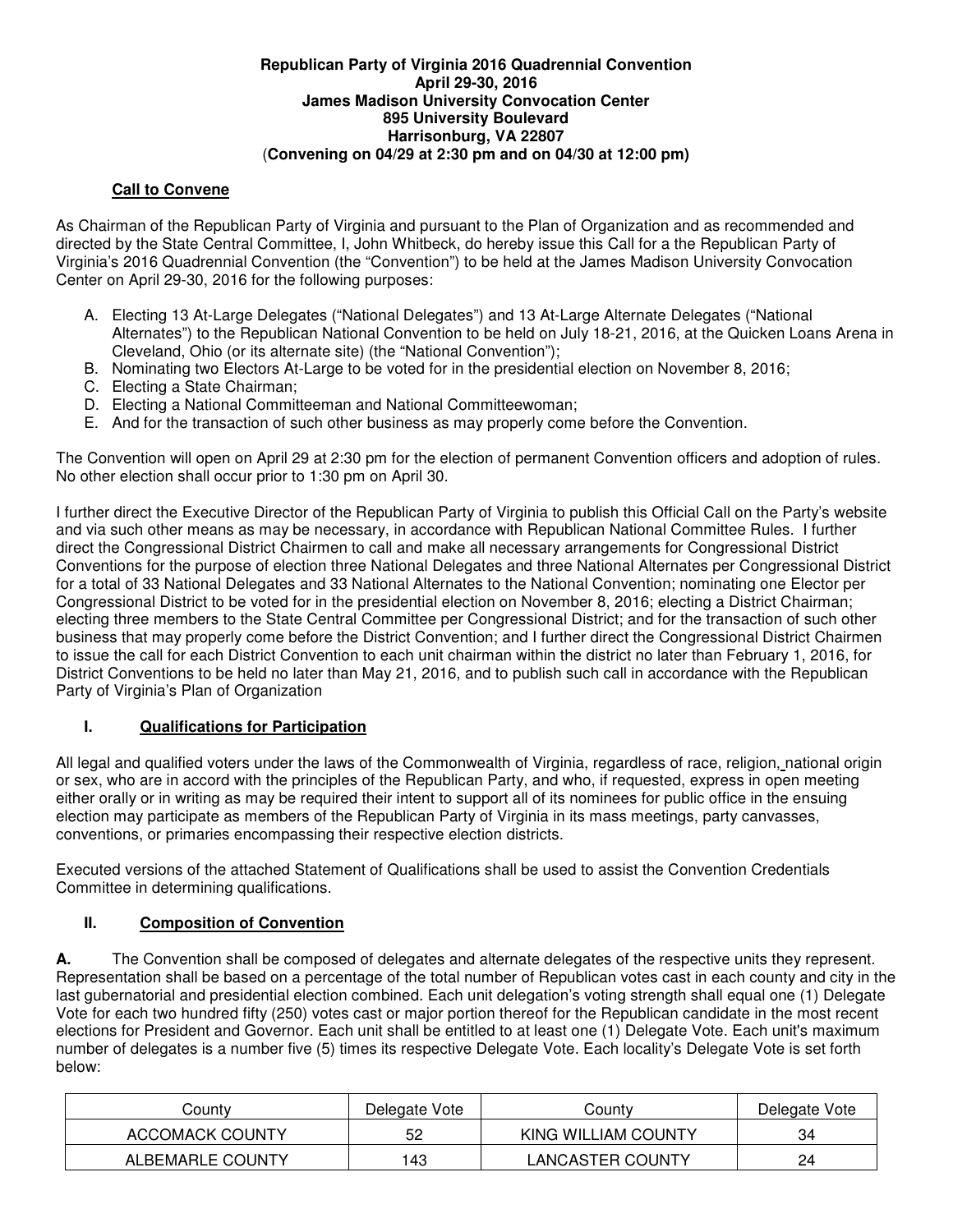#### **Republican Party of Virginia 2016 Quadrennial Convention April 29-30, 2016 James Madison University Convocation Center 895 University Boulevard Harrisonburg, VA 22807**  (**Convening on 04/29 at 2:30 pm and on 04/30 at 12:00 pm)**

### **Call to Convene**

As Chairman of the Republican Party of Virginia and pursuant to the Plan of Organization and as recommended and directed by the State Central Committee, I, John Whitbeck, do hereby issue this Call for a the Republican Party of Virginia's 2016 Quadrennial Convention (the "Convention") to be held at the James Madison University Convocation Center on April 29-30, 2016 for the following purposes:

- A. Electing 13 At-Large Delegates ("National Delegates") and 13 At-Large Alternate Delegates ("National Alternates") to the Republican National Convention to be held on July 18-21, 2016, at the Quicken Loans Arena in Cleveland, Ohio (or its alternate site) (the "National Convention");
- B. Nominating two Electors At-Large to be voted for in the presidential election on November 8, 2016;
- C. Electing a State Chairman;
- D. Electing a National Committeeman and National Committeewoman;
- E. And for the transaction of such other business as may properly come before the Convention.

The Convention will open on April 29 at 2:30 pm for the election of permanent Convention officers and adoption of rules. No other election shall occur prior to 1:30 pm on April 30.

I further direct the Executive Director of the Republican Party of Virginia to publish this Official Call on the Party's website and via such other means as may be necessary, in accordance with Republican National Committee Rules. I further direct the Congressional District Chairmen to call and make all necessary arrangements for Congressional District Conventions for the purpose of election three National Delegates and three National Alternates per Congressional District for a total of 33 National Delegates and 33 National Alternates to the National Convention; nominating one Elector per Congressional District to be voted for in the presidential election on November 8, 2016; electing a District Chairman; electing three members to the State Central Committee per Congressional District; and for the transaction of such other business that may properly come before the District Convention; and I further direct the Congressional District Chairmen to issue the call for each District Convention to each unit chairman within the district no later than February 1, 2016, for District Conventions to be held no later than May 21, 2016, and to publish such call in accordance with the Republican Party of Virginia's Plan of Organization

# **I. Qualifications for Participation**

All legal and qualified voters under the laws of the Commonwealth of Virginia, regardless of race, religion, national origin or sex, who are in accord with the principles of the Republican Party, and who, if requested, express in open meeting either orally or in writing as may be required their intent to support all of its nominees for public office in the ensuing election may participate as members of the Republican Party of Virginia in its mass meetings, party canvasses, conventions, or primaries encompassing their respective election districts.

Executed versions of the attached Statement of Qualifications shall be used to assist the Convention Credentials Committee in determining qualifications.

### **II. Composition of Convention**

**A.** The Convention shall be composed of delegates and alternate delegates of the respective units they represent. Representation shall be based on a percentage of the total number of Republican votes cast in each county and city in the last gubernatorial and presidential election combined. Each unit delegation's voting strength shall equal one (1) Delegate Vote for each two hundred fifty (250) votes cast or major portion thereof for the Republican candidate in the most recent elections for President and Governor. Each unit shall be entitled to at least one (1) Delegate Vote. Each unit's maximum number of delegates is a number five (5) times its respective Delegate Vote. Each locality's Delegate Vote is set forth below:

| شount∨                 | Delegate Vote | 2ount∨              | Delegate Vote |
|------------------------|---------------|---------------------|---------------|
| <b>ACCOMACK COUNTY</b> | 52            | KING WILLIAM COUNTY | 34            |
| ALBEMARLE COUNTY       | 43            | LANCASTER COUNTY    | 24            |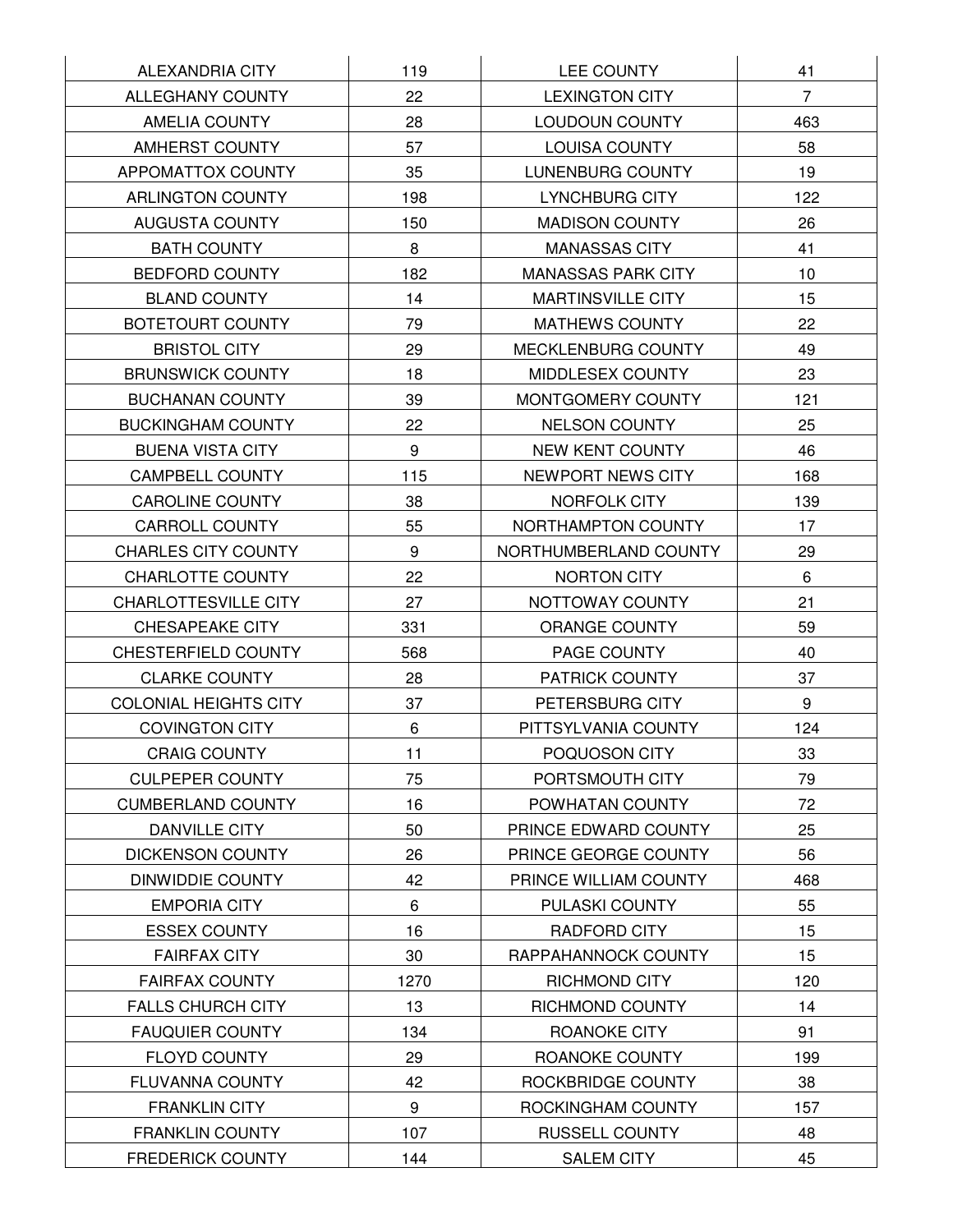| ALEXANDRIA CITY              | 119  | LEE COUNTY                | 41             |
|------------------------------|------|---------------------------|----------------|
| ALLEGHANY COUNTY             | 22   | <b>LEXINGTON CITY</b>     | $\overline{7}$ |
| AMELIA COUNTY                | 28   | LOUDOUN COUNTY            | 463            |
| AMHERST COUNTY               | 57   | LOUISA COUNTY             | 58             |
| APPOMATTOX COUNTY            | 35   | LUNENBURG COUNTY          | 19             |
| <b>ARLINGTON COUNTY</b>      | 198  | LYNCHBURG CITY            | 122            |
| <b>AUGUSTA COUNTY</b>        | 150  | <b>MADISON COUNTY</b>     | 26             |
| <b>BATH COUNTY</b>           | 8    | <b>MANASSAS CITY</b>      | 41             |
| <b>BEDFORD COUNTY</b>        | 182  | <b>MANASSAS PARK CITY</b> | 10             |
| <b>BLAND COUNTY</b>          | 14   | <b>MARTINSVILLE CITY</b>  | 15             |
| BOTETOURT COUNTY             | 79   | MATHEWS COUNTY            | 22             |
| <b>BRISTOL CITY</b>          | 29   | MECKLENBURG COUNTY        | 49             |
| <b>BRUNSWICK COUNTY</b>      | 18   | MIDDLESEX COUNTY          | 23             |
| <b>BUCHANAN COUNTY</b>       | 39   | MONTGOMERY COUNTY         | 121            |
| <b>BUCKINGHAM COUNTY</b>     | 22   | NELSON COUNTY             | 25             |
| <b>BUENA VISTA CITY</b>      | 9    | NEW KENT COUNTY           | 46             |
| <b>CAMPBELL COUNTY</b>       | 115  | NEWPORT NEWS CITY         | 168            |
| <b>CAROLINE COUNTY</b>       | 38   | NORFOLK CITY              | 139            |
| <b>CARROLL COUNTY</b>        | 55   | NORTHAMPTON COUNTY        | 17             |
| <b>CHARLES CITY COUNTY</b>   | 9    | NORTHUMBERLAND COUNTY     | 29             |
| <b>CHARLOTTE COUNTY</b>      | 22   | NORTON CITY               | 6              |
| CHARLOTTESVILLE CITY         | 27   | NOTTOWAY COUNTY           | 21             |
| <b>CHESAPEAKE CITY</b>       | 331  | ORANGE COUNTY             | 59             |
| CHESTERFIELD COUNTY          | 568  | PAGE COUNTY               | 40             |
| <b>CLARKE COUNTY</b>         | 28   | PATRICK COUNTY            | 37             |
| <b>COLONIAL HEIGHTS CITY</b> | 37   | PETERSBURG CITY           | 9              |
| <b>COVINGTON CITY</b>        | 6    | PITTSYLVANIA COUNTY       | 124            |
| CRAIG COUNTY                 | 11   | POQUOSON CITY             | 33             |
| <b>CULPEPER COUNTY</b>       | 75   | PORTSMOUTH CITY           | 79             |
| <b>CUMBERLAND COUNTY</b>     | 16   | POWHATAN COUNTY           | 72             |
| <b>DANVILLE CITY</b>         | 50   | PRINCE EDWARD COUNTY      | 25             |
| <b>DICKENSON COUNTY</b>      | 26   | PRINCE GEORGE COUNTY      | 56             |
| <b>DINWIDDIE COUNTY</b>      | 42   | PRINCE WILLIAM COUNTY     | 468            |
| <b>EMPORIA CITY</b>          | 6    | PULASKI COUNTY            | 55             |
| <b>ESSEX COUNTY</b>          | 16   | RADFORD CITY              | 15             |
| <b>FAIRFAX CITY</b>          | 30   | RAPPAHANNOCK COUNTY       | 15             |
| <b>FAIRFAX COUNTY</b>        | 1270 | <b>RICHMOND CITY</b>      | 120            |
| <b>FALLS CHURCH CITY</b>     | 13   | RICHMOND COUNTY           | 14             |
| <b>FAUQUIER COUNTY</b>       | 134  | ROANOKE CITY              | 91             |
| <b>FLOYD COUNTY</b>          | 29   | ROANOKE COUNTY            | 199            |
| FLUVANNA COUNTY              | 42   | ROCKBRIDGE COUNTY         | 38             |
| <b>FRANKLIN CITY</b>         | 9    | ROCKINGHAM COUNTY         | 157            |
| <b>FRANKLIN COUNTY</b>       | 107  | RUSSELL COUNTY            | 48             |
| <b>FREDERICK COUNTY</b>      | 144  | <b>SALEM CITY</b>         | 45             |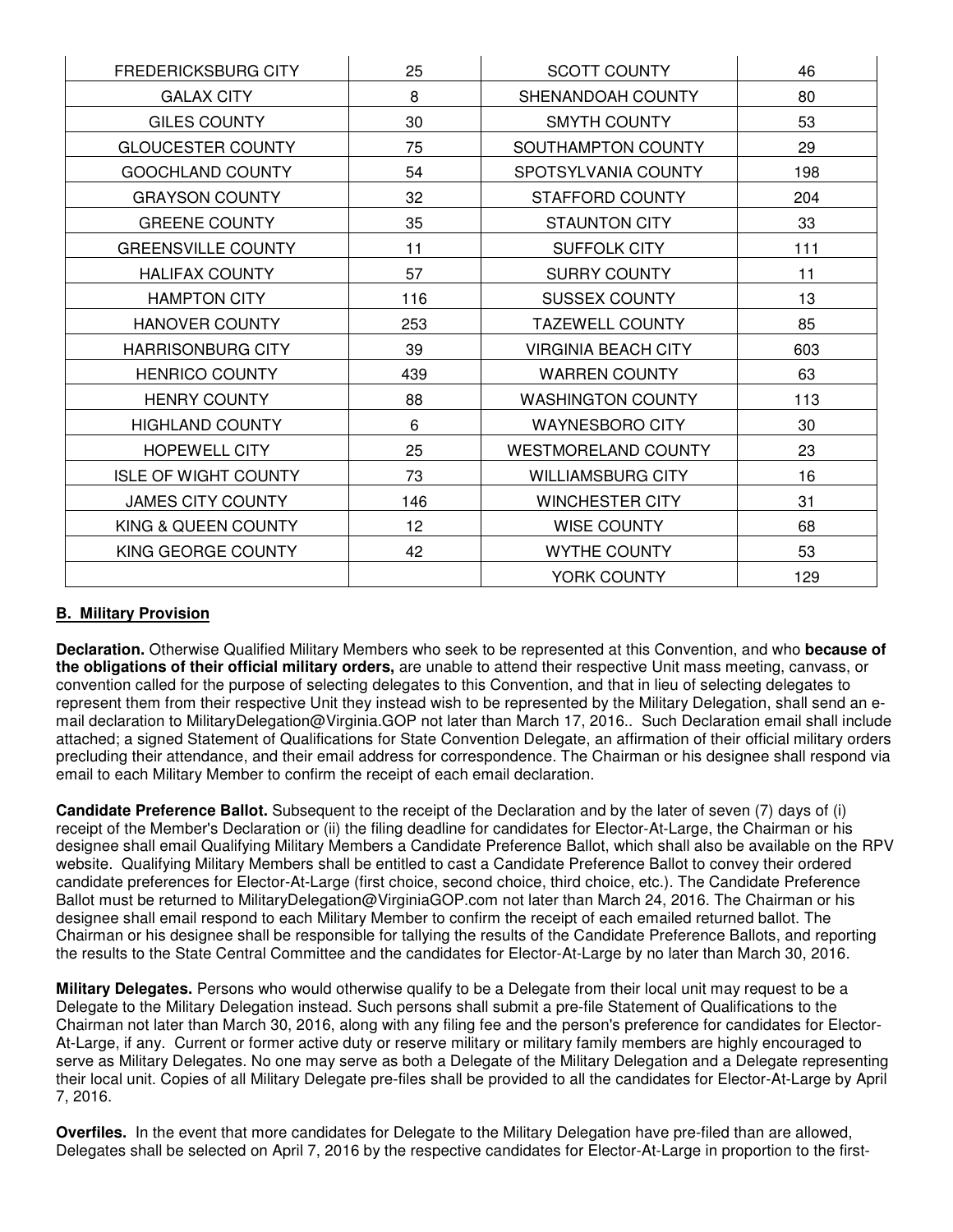| <b>FREDERICKSBURG CITY</b>  | 25  | <b>SCOTT COUNTY</b>        | 46  |
|-----------------------------|-----|----------------------------|-----|
| <b>GALAX CITY</b>           | 8   | SHENANDOAH COUNTY          | 80  |
| <b>GILES COUNTY</b>         | 30  | <b>SMYTH COUNTY</b>        | 53  |
| <b>GLOUCESTER COUNTY</b>    | 75  | SOUTHAMPTON COUNTY         | 29  |
| <b>GOOCHLAND COUNTY</b>     | 54  | SPOTSYLVANIA COUNTY        | 198 |
| <b>GRAYSON COUNTY</b>       | 32  | STAFFORD COUNTY            | 204 |
| <b>GREENE COUNTY</b>        | 35  | <b>STAUNTON CITY</b>       | 33  |
| <b>GREENSVILLE COUNTY</b>   | 11  | SUFFOLK CITY               | 111 |
| <b>HALIFAX COUNTY</b>       | 57  | <b>SURRY COUNTY</b>        | 11  |
| <b>HAMPTON CITY</b>         | 116 | <b>SUSSEX COUNTY</b>       | 13  |
| HANOVER COUNTY              | 253 | <b>TAZEWELL COUNTY</b>     | 85  |
| <b>HARRISONBURG CITY</b>    | 39  | <b>VIRGINIA BEACH CITY</b> | 603 |
| <b>HENRICO COUNTY</b>       | 439 | <b>WARREN COUNTY</b>       | 63  |
| <b>HENRY COUNTY</b>         | 88  | <b>WASHINGTON COUNTY</b>   | 113 |
| <b>HIGHLAND COUNTY</b>      | 6   | <b>WAYNESBORO CITY</b>     | 30  |
| <b>HOPEWELL CITY</b>        | 25  | <b>WESTMORELAND COUNTY</b> | 23  |
| <b>ISLE OF WIGHT COUNTY</b> | 73  | <b>WILLIAMSBURG CITY</b>   | 16  |
| <b>JAMES CITY COUNTY</b>    | 146 | WINCHESTER CITY            | 31  |
| KING & QUEEN COUNTY         | 12  | WISE COUNTY                | 68  |
| KING GEORGE COUNTY          | 42  | <b>WYTHE COUNTY</b>        | 53  |
|                             |     | YORK COUNTY                | 129 |

#### **B. Military Provision**

**Declaration.** Otherwise Qualified Military Members who seek to be represented at this Convention, and who **because of the obligations of their official military orders,** are unable to attend their respective Unit mass meeting, canvass, or convention called for the purpose of selecting delegates to this Convention, and that in lieu of selecting delegates to represent them from their respective Unit they instead wish to be represented by the Military Delegation, shall send an email declaration to MilitaryDelegation@Virginia.GOP not later than March 17, 2016.. Such Declaration email shall include attached; a signed Statement of Qualifications for State Convention Delegate, an affirmation of their official military orders precluding their attendance, and their email address for correspondence. The Chairman or his designee shall respond via email to each Military Member to confirm the receipt of each email declaration.

**Candidate Preference Ballot.** Subsequent to the receipt of the Declaration and by the later of seven (7) days of (i) receipt of the Member's Declaration or (ii) the filing deadline for candidates for Elector-At-Large, the Chairman or his designee shall email Qualifying Military Members a Candidate Preference Ballot, which shall also be available on the RPV website. Qualifying Military Members shall be entitled to cast a Candidate Preference Ballot to convey their ordered candidate preferences for Elector-At-Large (first choice, second choice, third choice, etc.). The Candidate Preference Ballot must be returned to MilitaryDelegation@VirginiaGOP.com not later than March 24, 2016. The Chairman or his designee shall email respond to each Military Member to confirm the receipt of each emailed returned ballot. The Chairman or his designee shall be responsible for tallying the results of the Candidate Preference Ballots, and reporting the results to the State Central Committee and the candidates for Elector-At-Large by no later than March 30, 2016.

**Military Delegates.** Persons who would otherwise qualify to be a Delegate from their local unit may request to be a Delegate to the Military Delegation instead. Such persons shall submit a pre-file Statement of Qualifications to the Chairman not later than March 30, 2016, along with any filing fee and the person's preference for candidates for Elector-At-Large, if any. Current or former active duty or reserve military or military family members are highly encouraged to serve as Military Delegates. No one may serve as both a Delegate of the Military Delegation and a Delegate representing their local unit. Copies of all Military Delegate pre-files shall be provided to all the candidates for Elector-At-Large by April 7, 2016.

**Overfiles.** In the event that more candidates for Delegate to the Military Delegation have pre-filed than are allowed, Delegates shall be selected on April 7, 2016 by the respective candidates for Elector-At-Large in proportion to the first-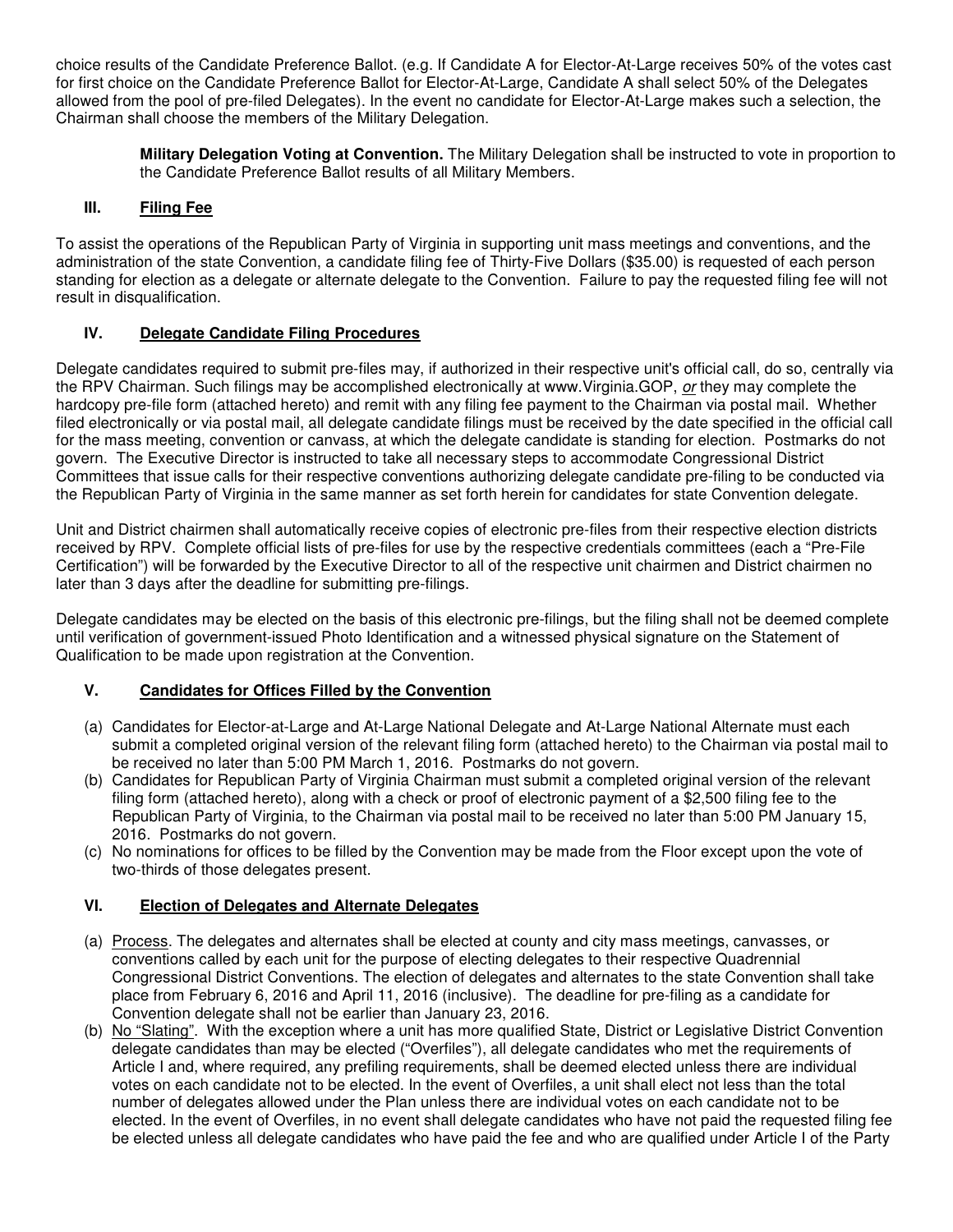choice results of the Candidate Preference Ballot. (e.g. If Candidate A for Elector-At-Large receives 50% of the votes cast for first choice on the Candidate Preference Ballot for Elector-At-Large, Candidate A shall select 50% of the Delegates allowed from the pool of pre-filed Delegates). In the event no candidate for Elector-At-Large makes such a selection, the Chairman shall choose the members of the Military Delegation.

> **Military Delegation Voting at Convention.** The Military Delegation shall be instructed to vote in proportion to the Candidate Preference Ballot results of all Military Members.

#### **III. Filing Fee**

To assist the operations of the Republican Party of Virginia in supporting unit mass meetings and conventions, and the administration of the state Convention, a candidate filing fee of Thirty-Five Dollars (\$35.00) is requested of each person standing for election as a delegate or alternate delegate to the Convention. Failure to pay the requested filing fee will not result in disqualification.

### **IV. Delegate Candidate Filing Procedures**

Delegate candidates required to submit pre-files may, if authorized in their respective unit's official call, do so, centrally via the RPV Chairman. Such filings may be accomplished electronically at www.Virginia.GOP, or they may complete the hardcopy pre-file form (attached hereto) and remit with any filing fee payment to the Chairman via postal mail. Whether filed electronically or via postal mail, all delegate candidate filings must be received by the date specified in the official call for the mass meeting, convention or canvass, at which the delegate candidate is standing for election. Postmarks do not govern. The Executive Director is instructed to take all necessary steps to accommodate Congressional District Committees that issue calls for their respective conventions authorizing delegate candidate pre-filing to be conducted via the Republican Party of Virginia in the same manner as set forth herein for candidates for state Convention delegate.

Unit and District chairmen shall automatically receive copies of electronic pre-files from their respective election districts received by RPV. Complete official lists of pre-files for use by the respective credentials committees (each a "Pre-File Certification") will be forwarded by the Executive Director to all of the respective unit chairmen and District chairmen no later than 3 days after the deadline for submitting pre-filings.

Delegate candidates may be elected on the basis of this electronic pre-filings, but the filing shall not be deemed complete until verification of government-issued Photo Identification and a witnessed physical signature on the Statement of Qualification to be made upon registration at the Convention.

#### **V. Candidates for Offices Filled by the Convention**

- (a) Candidates for Elector-at-Large and At-Large National Delegate and At-Large National Alternate must each submit a completed original version of the relevant filing form (attached hereto) to the Chairman via postal mail to be received no later than 5:00 PM March 1, 2016. Postmarks do not govern.
- (b) Candidates for Republican Party of Virginia Chairman must submit a completed original version of the relevant filing form (attached hereto), along with a check or proof of electronic payment of a \$2,500 filing fee to the Republican Party of Virginia, to the Chairman via postal mail to be received no later than 5:00 PM January 15, 2016. Postmarks do not govern.
- (c) No nominations for offices to be filled by the Convention may be made from the Floor except upon the vote of two-thirds of those delegates present.

# **VI. Election of Delegates and Alternate Delegates**

- (a) Process. The delegates and alternates shall be elected at county and city mass meetings, canvasses, or conventions called by each unit for the purpose of electing delegates to their respective Quadrennial Congressional District Conventions. The election of delegates and alternates to the state Convention shall take place from February 6, 2016 and April 11, 2016 (inclusive). The deadline for pre-filing as a candidate for Convention delegate shall not be earlier than January 23, 2016.
- (b) No "Slating". With the exception where a unit has more qualified State, District or Legislative District Convention delegate candidates than may be elected ("Overfiles"), all delegate candidates who met the requirements of Article I and, where required, any prefiling requirements, shall be deemed elected unless there are individual votes on each candidate not to be elected. In the event of Overfiles, a unit shall elect not less than the total number of delegates allowed under the Plan unless there are individual votes on each candidate not to be elected. In the event of Overfiles, in no event shall delegate candidates who have not paid the requested filing fee be elected unless all delegate candidates who have paid the fee and who are qualified under Article I of the Party